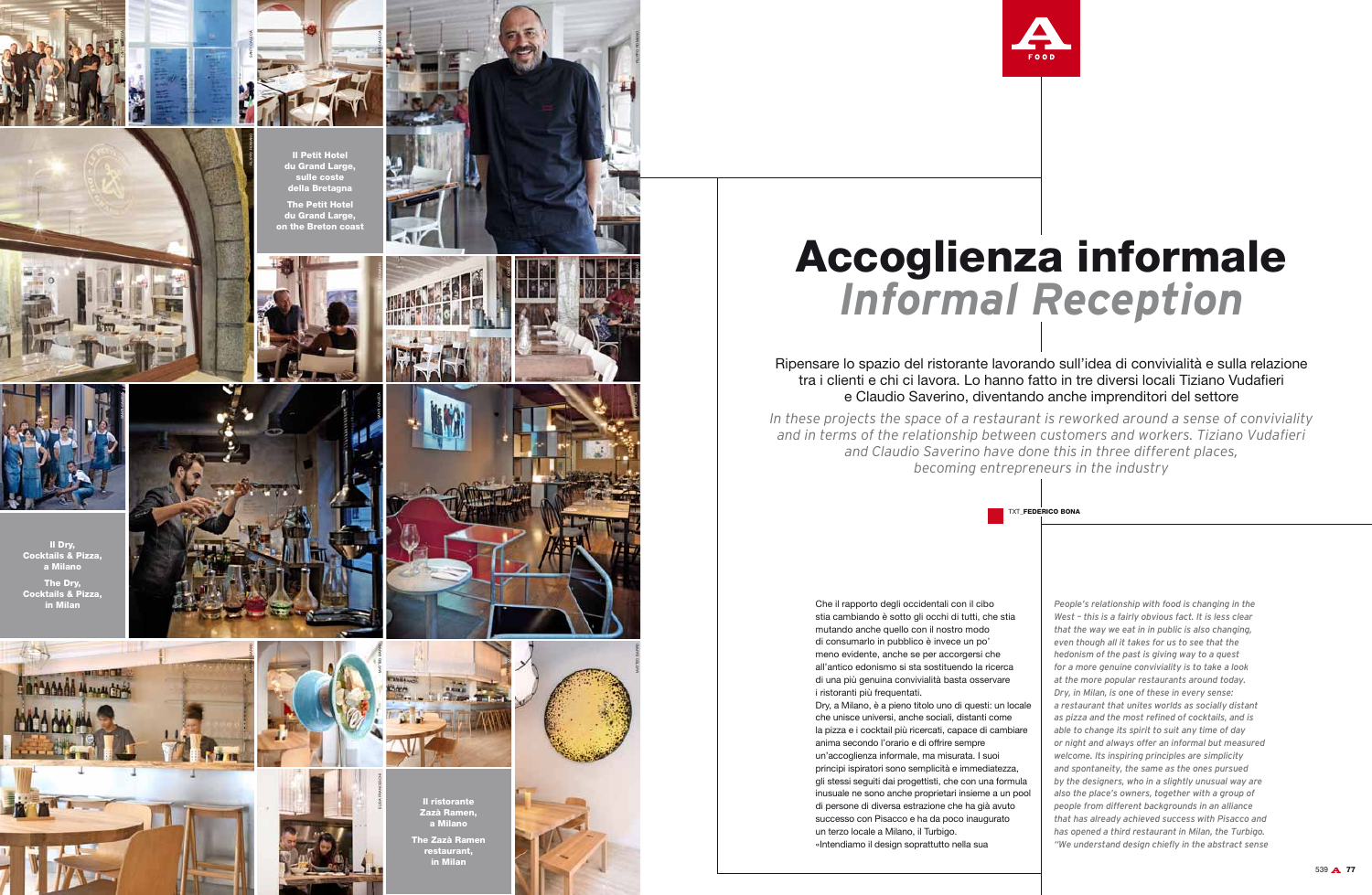## Ripensare lo spazio del ristorante lavorando sull'idea di convivialità e sulla relazione tra i clienti e chi ci lavora. Lo hanno fatto in tre diversi locali Tiziano Vudafieri e Claudio Saverino, diventando anche imprenditori del settore

*In these projects the space of a restaurant is reworked around a sense of conviviality and in terms of the relationship between customers and workers. Tiziano Vudafieri and Claudio Saverino have done this in three different places, becoming entrepreneurs in the industry* 



## Accoglienza informale *Informal Reception*

Che il rapporto degli occidentali con il cib stia cambiando è sotto gli occhi di tutti, c mutando anche quello con il nostro modo di consumarlo in pubblico è invece un po' meno evidente, anche se per accorgersi all'antico edonismo si sta sostituendo la di una più genuina convivialità basta osse i ristoranti più frequentati.

Dry, a Milano, è a pieno titolo uno di questi che unisce universi, anche sociali, distanti la pizza e i cocktail più ricercati, capace di anima secondo l'orario e di offrire sempre un'accoglienza informale, ma misurata. I s principi ispiratori sono semplicità e immed gli stessi seguiti dai progettisti, che con un inusuale ne sono anche proprietari insiem di persone di diversa estrazione che ha gia successo con Pisacco e ha da poco inaug un terzo locale a Milano, il Turbigo. «Intendiamo il design soprattutto nella sua



|                         | <b>TXT FEDERICO BONA</b>                                                                             |              |
|-------------------------|------------------------------------------------------------------------------------------------------|--------------|
|                         |                                                                                                      |              |
|                         | People's relationship with food is changing in the                                                   |              |
| OC<br>che stia          | West - this is a fairly obvious fact. It is less clear                                               |              |
| o                       | that the way we eat in in public is also changing,                                                   |              |
| <sup>,</sup>            | even though all it takes for us to see that the                                                      |              |
| che                     | hedonism of the past is giving way to a quest                                                        |              |
| ricerca                 | for a more genuine conviviality is to take a look                                                    |              |
| ervare                  | at the more popular restaurants around today.                                                        |              |
|                         | Dry, in Milan, is one of these in every sense:                                                       |              |
| ti: un locale           | a restaurant that unites worlds as socially distant                                                  |              |
| i come                  | as pizza and the most refined of cocktails, and is                                                   |              |
| <i>i</i> cambiare       | able to change its spirit to suit any time of day                                                    |              |
|                         | or night and always offer an informal but measured                                                   |              |
| suoi                    | welcome. Its inspiring principles are simplicity                                                     |              |
| diatezza.<br>na formula | and spontaneity, the same as the ones pursued<br>by the designers, who in a slightly unusual way are |              |
| e a un pool             | also the place's owners, together with a group of                                                    |              |
| à avuto                 | people from different backgrounds in an alliance                                                     |              |
| gurato                  | that has already achieved success with Pisacco and                                                   |              |
|                         | has opened a third restaurant in Milan, the Turbigo.                                                 |              |
| E.                      | "We understand design chiefly in the abstract sense                                                  |              |
|                         |                                                                                                      | 530 A<br>-77 |
|                         |                                                                                                      |              |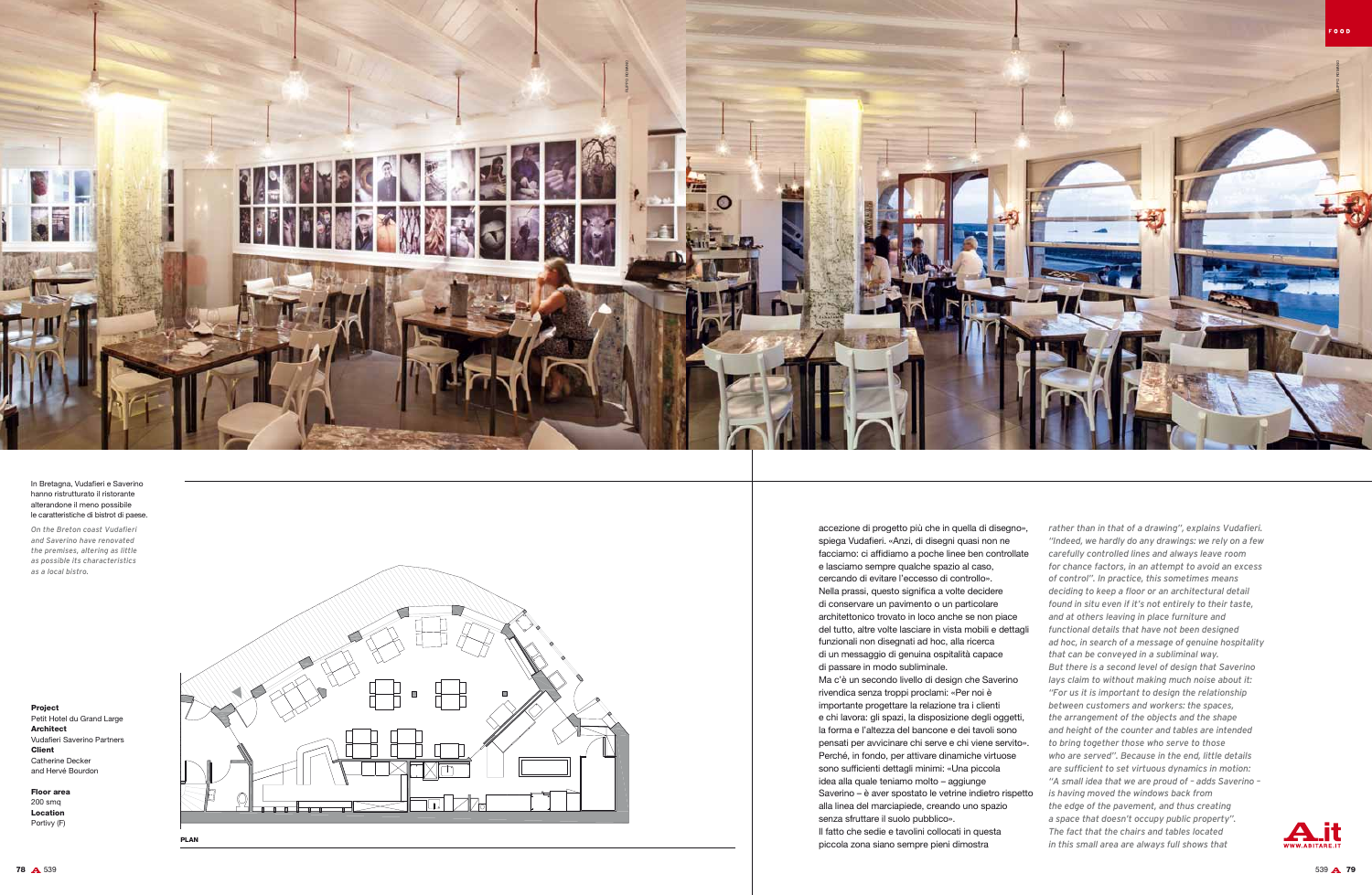Project Petit Hotel du Grand Large Architect Vudafieri Saverino Partners Client Catherine Decker and Hervé Bourdon

Floor area 200 smq Location Portivy (F)

In Bretagna, Vudafieri e Saverino hanno ristrutturato il ristorante alterandone il meno possibile le caratteristiche di bistrot di paese.

*On the Breton coast Vudafieri and Saverino have renovated the premises, altering as little as possible its characteristics as a local bistro.*



accezione di progetto più che in quella di disegno», spiega Vudafieri. «Anzi, di disegni quasi non ne facciamo: ci affidiamo a poche linee ben controllate e lasciamo sempre qualche spazio al caso, cercando di evitare l'eccesso di controllo». Nella prassi, questo significa a volte decidere di conservare un pavimento o un particolare architettonico trovato in loco anche se non piace del tutto, altre volte lasciare in vista mobili e dettagli funzionali non disegnati ad hoc, alla ricerca di un messaggio di genuina ospitalità capace di passare in modo subliminale. Ma c'è un secondo livello di design che Saverino

rivendica senza troppi proclami: «Per noi è importante progettare la relazione tra i clienti e chi lavora: gli spazi, la disposizione degli oggetti, la forma e l'altezza del bancone e dei tavoli sono pensati per avvicinare chi serve e chi viene servito». Perché, in fondo, per attivare dinamiche virtuose sono sufficienti dettagli minimi: «Una piccola idea alla quale teniamo molto – aggiunge Saverino – è aver spostato le vetrine indietro rispetto alla linea del marciapiede, creando uno spazio senza sfruttare il suolo pubblico».

Il fatto che sedie e tavolini collocati in questa piccola zona siano sempre pieni dimostra

*rather than in that of a drawing", explains Vudafieri. "Indeed, we hardly do any drawings: we rely on a few carefully controlled lines and always leave room for chance factors, in an attempt to avoid an excess of control". In practice, this sometimes means deciding to keep a floor or an architectural detail found in situ even if it's not entirely to their taste, and at others leaving in place furniture and functional details that have not been designed ad hoc, in search of a message of genuine hospitality that can be conveyed in a subliminal way. But there is a second level of design that Saverino lays claim to without making much noise about it: "For us it is important to design the relationship between customers and workers: the spaces, the arrangement of the objects and the shape and height of the counter and tables are intended to bring together those who serve to those who are served". Because in the end, little details are sufficient to set virtuous dynamics in motion: "A small idea that we are proud of – adds Saverino – is having moved the windows back from the edge of the pavement, and thus creating a space that doesn't occupy public property". The fact that the chairs and tables located in this small area are always full shows that* 



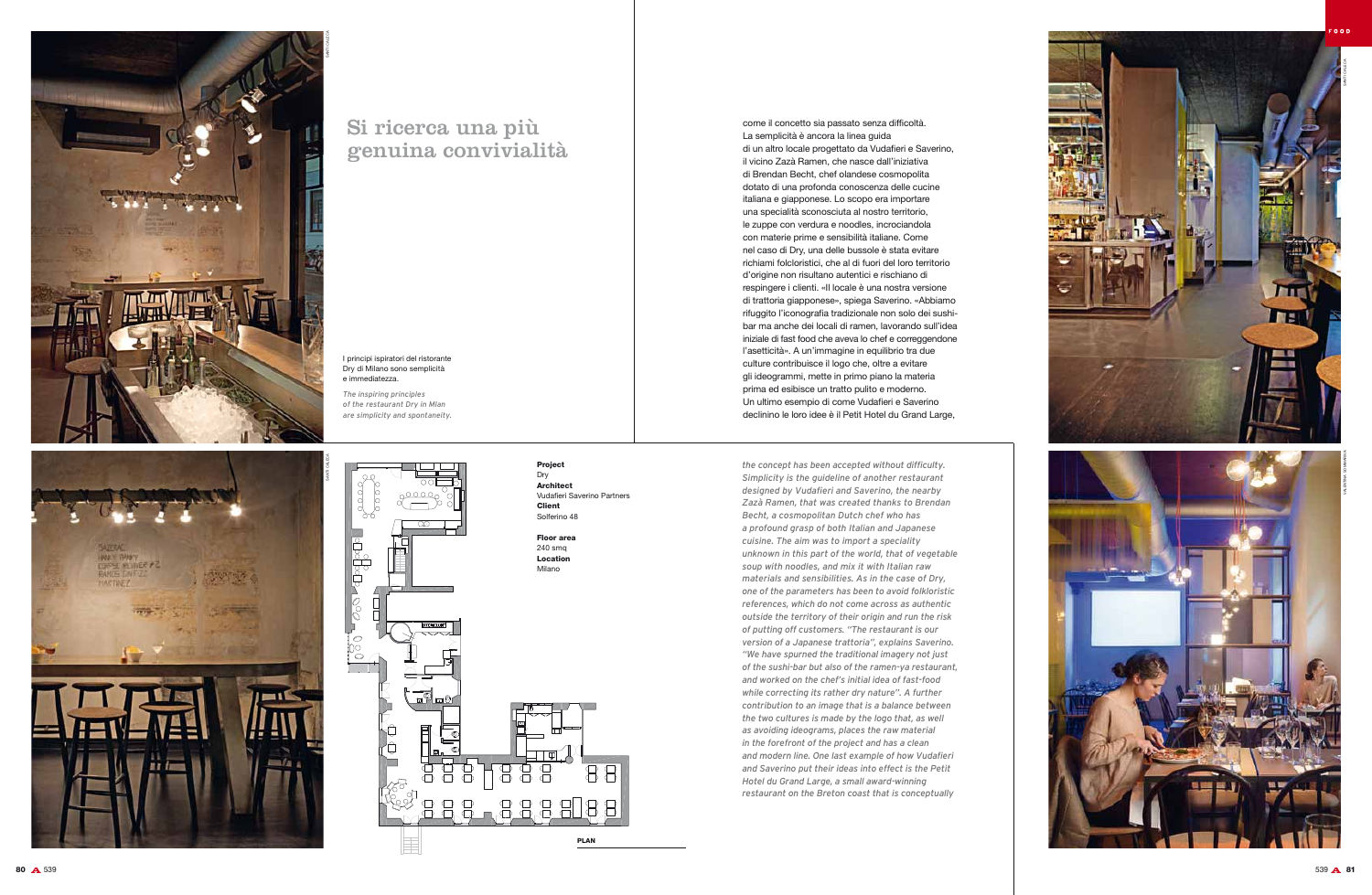## I principi ispiratori del ristorante Dry di Milano sono semplicità e immediatezza.

*The inspiring principles of the restaurant Dry in Mlan are simplicity and spontaneity.* come il concetto sia passato senza difficoltà. La semplicità è ancora la linea guida di un altro locale progettato da Vudafieri e Saverino, il vicino Zazà Ramen, che nasce dall'iniziativa di Brendan Becht, chef olandese cosmopolita dotato di una profonda conoscenza delle cucine italiana e giapponese. Lo scopo era importare una specialità sconosciuta al nostro territorio, le zuppe con verdura e noodles, incrociandola con materie prime e sensibilità italiane. Come nel caso di Dry, una delle bussole è stata evitare richiami folcloristici, che al di fuori del loro territorio d'origine non risultano autentici e rischiano di respingere i clienti. «Il locale è una nostra versione di trattoria giapponese», spiega Saverino. «Abbiamo rifuggito l'iconografia tradizionale non solo dei sushibar ma anche dei locali di ramen, lavorando sull'idea iniziale di fast food che aveva lo chef e correggendone l'asetticità». A un'immagine in equilibrio tra due culture contribuisce il logo che, oltre a evitare gli ideogrammi, mette in primo piano la materia prima ed esibisce un tratto pulito e moderno. Un ultimo esempio di come Vudafieri e Saverino declinino le loro idee è il Petit Hotel du Grand Large,



*the concept has been accepted without difficulty. Simplicity is the guideline of another restaurant designed by Vudafieri and Saverino, the nearby Zazà Ramen, that was created thanks to Brendan Becht, a cosmopolitan Dutch chef who has a profound grasp of both Italian and Japanese cuisine. The aim was to import a speciality unknown in this part of the world, that of vegetable soup with noodles, and mix it with Italian raw materials and sensibilities. As in the case of Dry, one of the parameters has been to avoid folkloristic references, which do not come across as authentic outside the territory of their origin and run the risk of putting off customers. "The restaurant is our version of a Japanese trattoria", explains Saverino. "We have spurned the traditional imagery not just of the sushi-bar but also of the ramen-ya restaurant, and worked on the chef's initial idea of fast-food while correcting its rather dry nature". A further contribution to an image that is a balance between the two cultures is made by the logo that, as well as avoiding ideograms, places the raw material in the forefront of the project and has a clean and modern line. One last example of how Vudafieri and Saverino put their ideas into effect is the Petit Hotel du Grand Large, a small award-winning restaurant on the Breton coast that is conceptually* 

## Si ricerca una più genuina convivialità